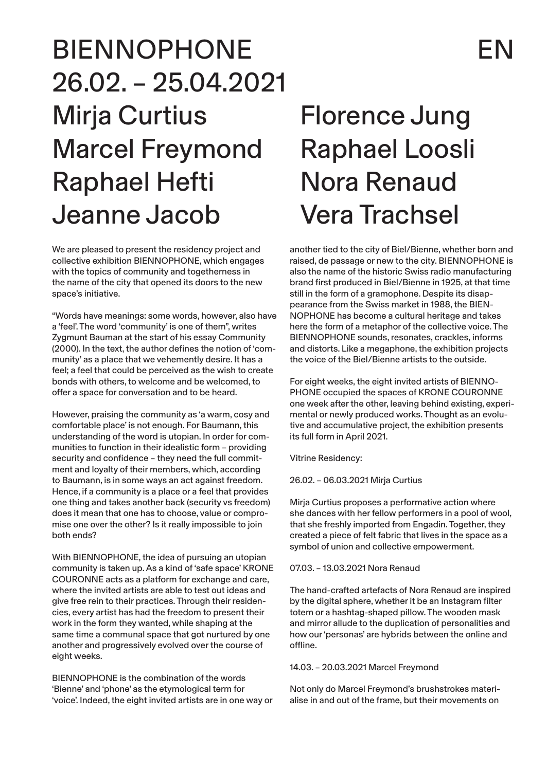# BIENNOPHONE EN 26.02. – 25.04.2021 Mirja Curtius Marcel Freymond Raphael Hefti Jeanne Jacob

We are pleased to present the residency project and collective exhibition BIENNOPHONE, which engages with the topics of community and togetherness in the name of the city that opened its doors to the new space's initiative.

"Words have meanings: some words, however, also have a 'feel'. The word 'community' is one of them", writes Zygmunt Bauman at the start of his essay Community (2000). In the text, the author defines the notion of 'community' as a place that we vehemently desire. It has a feel; a feel that could be perceived as the wish to create bonds with others, to welcome and be welcomed, to offer a space for conversation and to be heard.

However, praising the community as 'a warm, cosy and comfortable place' is not enough. For Baumann, this understanding of the word is utopian. In order for communities to function in their idealistic form – providing security and confidence – they need the full commitment and loyalty of their members, which, according to Baumann, is in some ways an act against freedom. Hence, if a community is a place or a feel that provides one thing and takes another back (security vs freedom) does it mean that one has to choose, value or compromise one over the other? Is it really impossible to join both ends?

With BIENNOPHONE, the idea of pursuing an utopian community is taken up. As a kind of 'safe space' KRONE COURONNE acts as a platform for exchange and care, where the invited artists are able to test out ideas and give free rein to their practices. Through their residencies, every artist has had the freedom to present their work in the form they wanted, while shaping at the same time a communal space that got nurtured by one another and progressively evolved over the course of eight weeks.

BIENNOPHONE is the combination of the words 'Bienne' and 'phone' as the etymological term for 'voice'. Indeed, the eight invited artists are in one way or

## Florence Jung Raphael Loosli Nora Renaud Vera Trachsel

another tied to the city of Biel/Bienne, whether born and raised, de passage or new to the city. BIENNOPHONE is also the name of the historic Swiss radio manufacturing brand first produced in Biel/Bienne in 1925, at that time still in the form of a gramophone. Despite its disappearance from the Swiss market in 1988, the BIEN-NOPHONE has become a cultural heritage and takes here the form of a metaphor of the collective voice. The BIENNOPHONE sounds, resonates, crackles, informs and distorts. Like a megaphone, the exhibition projects the voice of the Biel/Bienne artists to the outside.

For eight weeks, the eight invited artists of BIENNO-PHONE occupied the spaces of KRONE COURONNE one week after the other, leaving behind existing, experimental or newly produced works. Thought as an evolutive and accumulative project, the exhibition presents its full form in April 2021.

Vitrine Residency:

26.02. – 06.03.2021 Mirja Curtius

Mirja Curtius proposes a performative action where she dances with her fellow performers in a pool of wool, that she freshly imported from Engadin. Together, they created a piece of felt fabric that lives in the space as a symbol of union and collective empowerment.

07.03. – 13.03.2021 Nora Renaud

The hand-crafted artefacts of Nora Renaud are inspired by the digital sphere, whether it be an Instagram filter totem or a hashtag-shaped pillow. The wooden mask and mirror allude to the duplication of personalities and how our 'personas' are hybrids between the online and offline.

14.03. – 20.03.2021 Marcel Freymond

Not only do Marcel Freymond's brushstrokes materialise in and out of the frame, but their movements on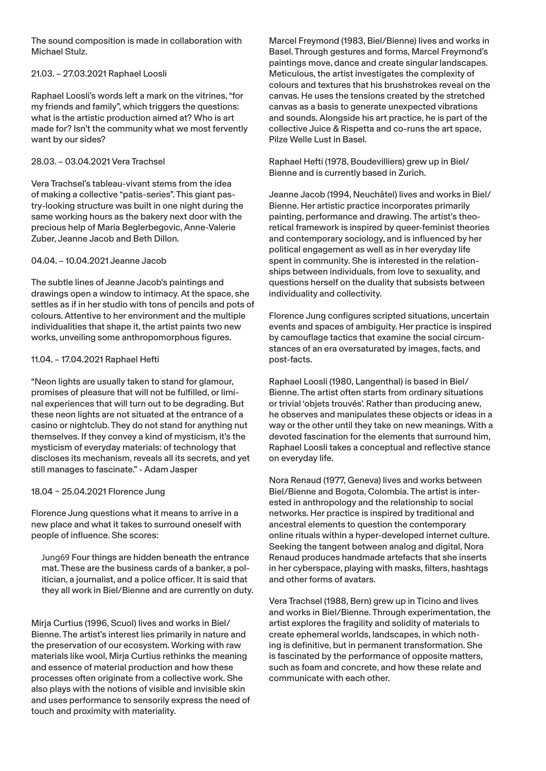The sound composition is made in collaboration with Michael Stulz.

### 21.03. – 27.03.2021 Raphael Loosli

Raphael Loosli's words left a mark on the vitrines, "for my friends and family", which triggers the questions: what is the artistic production aimed at? Who is art made for? Isn't the community what we most fervently want by our sides?

#### 28.03. – 03.04.2021 Vera Trachsel

Vera Trachsel's tableau-vivant stems from the idea of making a collective "patis-series". This giant pastry-looking structure was built in one night during the same working hours as the bakery next door with the precious help of Maria Beglerbegovic, Anne-Valerie Zuber, Jeanne Jacob and Beth Dillon.

#### 04.04. – 10.04.2021 Jeanne Jacob

The subtle lines of Jeanne Jacob's paintings and drawings open a window to intimacy. At the space, she settles as if in her studio with tons of pencils and pots of colours. Attentive to her environment and the multiple individualities that shape it, the artist paints two new works, unveiling some anthropomorphous figures.

#### 11.04. – 17.04.2021 Raphael Hefti

"Neon lights are usually taken to stand for glamour, promises of pleasure that will not be fulfilled, or liminal experiences that will turn out to be degrading. But these neon lights are not situated at the entrance of a casino or nightclub. They do not stand for anything nut themselves. If they convey a kind of mysticism, it's the mysticism of everyday materials: of technology that discloses its mechanism, reveals all its secrets, and yet still manages to fascinate." - Adam Jasper

### 18.04 – 25.04.2021 Florence Jung

Florence Jung questions what it means to arrive in a new place and what it takes to surround oneself with people of influence. She scores:

Jung69 Four things are hidden beneath the entrance mat. These are the business cards of a banker, a politician, a journalist, and a police officer. It is said that they all work in Biel/Bienne and are currently on duty.

Mirja Curtius (1996, Scuol) lives and works in Biel/ Bienne. The artist's interest lies primarily in nature and the preservation of our ecosystem. Working with raw materials like wool, Mirja Curtius rethinks the meaning and essence of material production and how these processes often originate from a collective work. She also plays with the notions of visible and invisible skin and uses performance to sensorily express the need of touch and proximity with materiality.

Marcel Freymond (1983, Biel/Bienne) lives and works in Basel. Through gestures and forms, Marcel Freymond's paintings move, dance and create singular landscapes. Meticulous, the artist investigates the complexity of colours and textures that his brushstrokes reveal on the canvas. He uses the tensions created by the stretched canvas as a basis to generate unexpected vibrations and sounds. Alongside his art practice, he is part of the collective Juice & Rispetta and co-runs the art space, Pilze Welle Lust in Basel.

Raphael Hefti (1978, Boudevilliers) grew up in Biel/ Bienne and is currently based in Zurich.

Jeanne Jacob (1994, Neuchâtel) lives and works in Biel/ Bienne. Her artistic practice incorporates primarily painting, performance and drawing. The artist's theoretical framework is inspired by queer-feminist theories and contemporary sociology, and is influenced by her political engagement as well as in her everyday life spent in community. She is interested in the relationships between individuals, from love to sexuality, and questions herself on the duality that subsists between individuality and collectivity.

Florence Jung configures scripted situations, uncertain events and spaces of ambiguity. Her practice is inspired by camouflage tactics that examine the social circumstances of an era oversaturated by images, facts, and post-facts.

Raphael Loosli (1980, Langenthal) is based in Biel/ Bienne. The artist often starts from ordinary situations or trivial 'objets trouvés'. Rather than producing anew, he observes and manipulates these objects or ideas in a way or the other until they take on new meanings. With a devoted fascination for the elements that surround him, Raphael Loosli takes a conceptual and reflective stance on everyday life.

Nora Renaud (1977, Geneva) lives and works between Biel/Bienne and Bogota, Colombia. The artist is interested in anthropology and the relationship to social networks. Her practice is inspired by traditional and ancestral elements to question the contemporary online rituals within a hyper-developed internet culture. Seeking the tangent between analog and digital, Nora Renaud produces handmade artefacts that she inserts in her cyberspace, playing with masks, filters, hashtags and other forms of avatars.

Vera Trachsel (1988, Bern) grew up in Ticino and lives and works in Biel/Bienne. Through experimentation, the artist explores the fragility and solidity of materials to create ephemeral worlds, landscapes, in which nothing is definitive, but in permanent transformation. She is fascinated by the performance of opposite matters, such as foam and concrete, and how these relate and communicate with each other.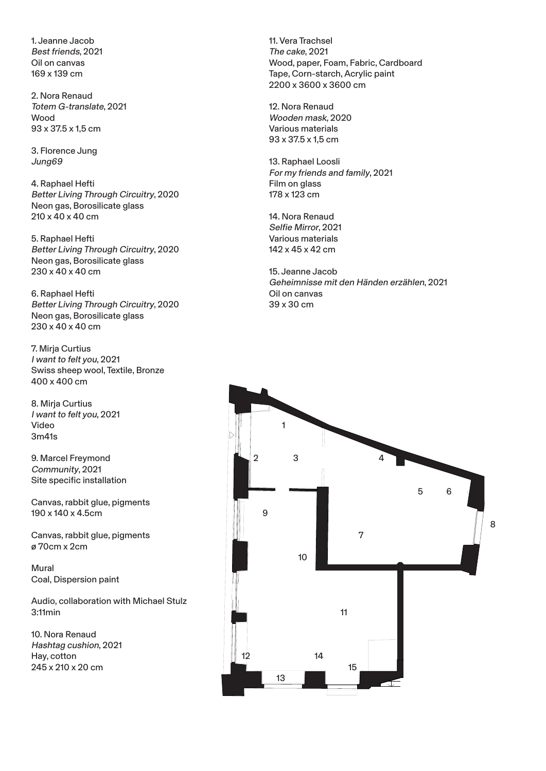1. Jeanne Jacob Best friends, 2021 Oil on canvas 169 x 139 cm

2. Nora Renaud Totem G-translate, 2021 Wood 93 x 37.5 x 1,5 cm

3. Florence Jung Jung69

4. Raphael Hefti Better Living Through Circuitry, 2020 Neon gas, Borosilicate glass 210 x 40 x 40 cm

5. Raphael Hefti Better Living Through Circuitry, 2020 Neon gas, Borosilicate glass 230 x 40 x 40 cm

6. Raphael Hefti Better Living Through Circuitry, 2020 Neon gas, Borosilicate glass 230 x 40 x 40 cm

7. Mirja Curtius I want to felt you, 2021 Swiss sheep wool, Textile, Bronze 400 x 400 cm

8. Mirja Curtius I want to felt you, 2021 Video 3m41s

9. Marcel Freymond Community, 2021 Site specific installation

Canvas, rabbit glue, pigments 190 x 140 x 4.5cm

Canvas, rabbit glue, pigments ø 70cm x 2cm

Mural Coal, Dispersion paint

Audio, collaboration with Michael Stulz 3:11min

10. Nora Renaud Hashtag cushion, 2021 Hay, cotton 245 x 210 x 20 cm

11. Vera Trachsel The cake, 2021 Wood, paper, Foam, Fabric, Cardboard Tape, Corn-starch, Acrylic paint 2200 x 3600 x 3600 cm

12. Nora Renaud Wooden mask, 2020 Various materials 93 x 37.5 x 1,5 cm

13. Raphael Loosli For my friends and family, 2021 Film on glass 178 x 123 cm

14. Nora Renaud Selfie Mirror, 2021 Various materials 142 x 45 x 42 cm

15. Jeanne Jacob Geheimnisse mit den Händen erzählen, 2021 Oil on canvas 39 x 30 cm